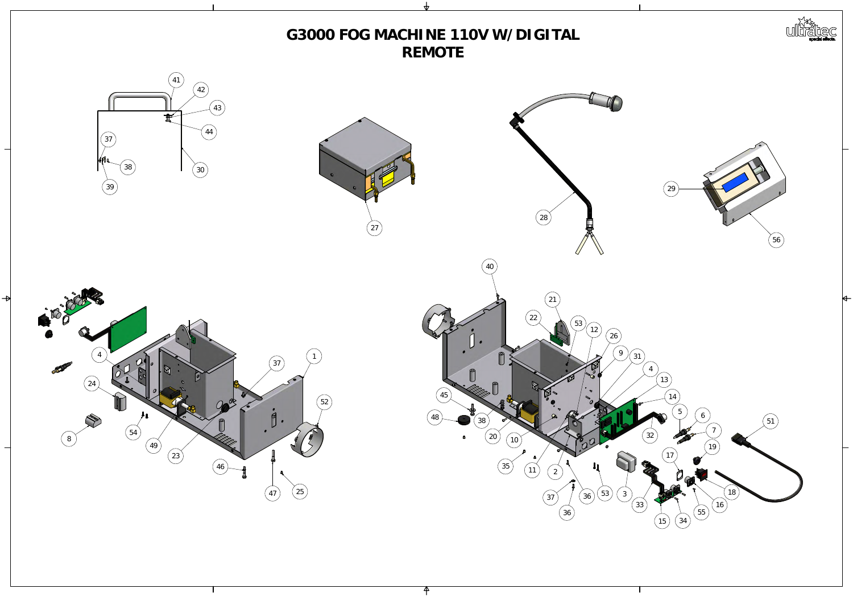

# G3000 FOG MACHINE 110VW/DIGITAL REMOTE



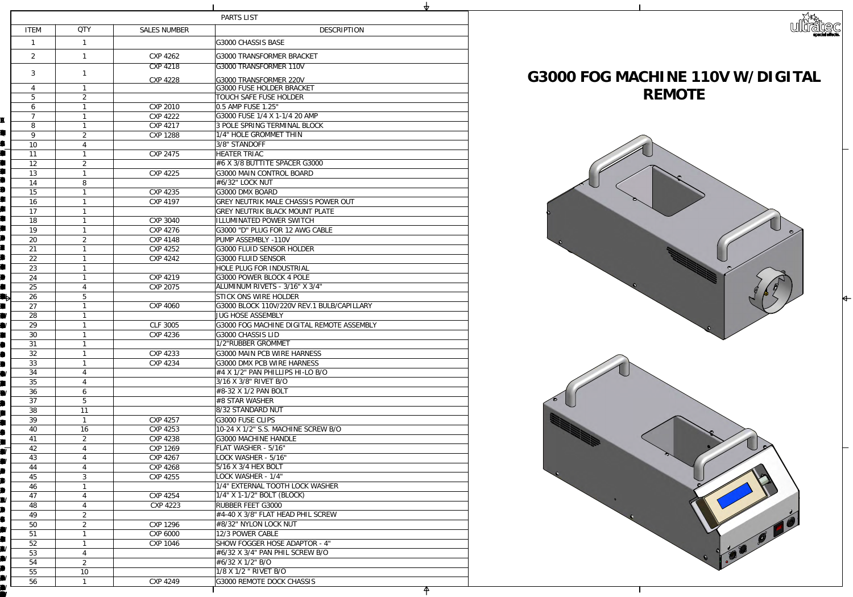|                       |                                  |                             | <b>NZ</b>                                                    |  |
|-----------------------|----------------------------------|-----------------------------|--------------------------------------------------------------|--|
|                       |                                  |                             | PARTS LIST                                                   |  |
| <b>ITEM</b>           | QIY                              | <b>SALES NUMBER</b>         | <b>DESCRIPTION</b>                                           |  |
|                       |                                  |                             | <b>G3000 HSSIS BASE</b>                                      |  |
| $\boldsymbol{z}$      |                                  | CNP 4262                    | G3000 TRANSFORMER BRACKET                                    |  |
|                       |                                  | CXP 4218                    | G3000TRANSFORMER 110V                                        |  |
| 3                     |                                  |                             |                                                              |  |
| $\overline{4}$        |                                  | <b>CYP 4228</b>             | G3000 TRANSFORMER 220V<br>G3000 FUSE HOLDER BRACKET          |  |
| 5                     | $\mathcal{Z}$                    |                             | TOUCH SAFE FUSE HOLDER                                       |  |
| 6                     |                                  | <b>CXP 2010</b>             | $\vert$ Q5AMPFUSE 1.25"                                      |  |
| $\boldsymbol{\gamma}$ |                                  | CXP 4222                    | G3000 FUSE $1/4$ X 1- $1/4$ 20 AMP                           |  |
| 8                     |                                  | CXP 4217                    | <b><i>SPOLE SPRING TERMINAL BLOCK</i></b>                    |  |
| 9                     | $\mathcal{Z}$                    | <b>CXP 1288</b>             | 1/4" HOLE GROMMET THIN                                       |  |
| 1 <sup>O</sup>        | $\mathbf 4$                      |                             | 3/8' STANDOFF                                                |  |
| 11                    |                                  | <b>CYP 2475</b>             | <b>HEATER TRIAC</b>                                          |  |
| 12                    | $\mathcal{Z}$                    |                             | #6X3⁄8BUTTITE SPACER G3000                                   |  |
| 13                    |                                  | CXP 4225                    | G3000MAINCONTROLBOARD                                        |  |
| 14                    | 8                                |                             | #6⁄32' LOCKNJT                                               |  |
| 15                    |                                  | CXP 4235                    | <b>G300DMXBOARD</b>                                          |  |
| 16                    |                                  | CXP 4197                    | GREYNEUTRIK MALE CHASSIS POWER OUT                           |  |
| 17                    |                                  |                             | <b>GREYNEUTRIK BLACK MOUNT PLATE</b>                         |  |
| 18                    |                                  | <b>COP 3040</b>             | <b>ILLUMINATED POWER SWITCH</b>                              |  |
| 19<br>$\infty$        | $\mathbf{2}$                     | CXP 4276<br>CXP4148         | G3000 "D" PLUG FOR 12 AWG CABLE<br><b>PUMP ASSEMBLY-11OV</b> |  |
| 21                    |                                  | CNP 4252                    | G3000 FLUID SENSOR HOLDER                                    |  |
| 22                    |                                  | CXP 4242                    | G3000 FLUID SENSOR                                           |  |
| 23                    | $\blacktriangleleft$             |                             | HOLE PLUG FOR INDUSTRIAL                                     |  |
| 24                    |                                  | CXP 4219                    | G3000 POWER BLOCK 4 POLE                                     |  |
| 25                    |                                  | <b>CYP 2075</b>             | <b>ALMINUMRIVETS - 3/16' X3/4"</b>                           |  |
| 26                    | 5                                |                             | STICK ONS WIRE HOLDER                                        |  |
| 27                    |                                  | CP4000                      | G3000 BLOCK 110V/220V REV. 1 BUB/CAPILLARY                   |  |
| 28                    |                                  |                             | <b>JUG HOSE ASSEMBLY</b>                                     |  |
| 29                    |                                  | GF3005                      | G3000 FOG MACHINE DIGITAL REMOTE ASSEMBLY                    |  |
| $\mathfrak{D}$        |                                  | CYP 4236                    | G3000 HASSIS LID                                             |  |
| 31                    |                                  |                             | 1/2'RUBBER GROMMET                                           |  |
| 32                    |                                  | <b>CYP 4233</b>             | G3000MAIN PCB WIRE HARNESS                                   |  |
| 33<br>34              |                                  | CNP 4234                    | G3000DWXPCBWIRE HARNESS<br>$\#4X1/Z'$ PANPHILIPS H-LOBO      |  |
| 35                    | $\overline{4}$<br>$\overline{4}$ |                             | 3/16X3/8' RIVET BO                                           |  |
| 36                    | 6                                |                             | #832X1/2PANBOLT                                              |  |
| 37                    | 5                                |                             | $ \# {\rm SSTAR}$ WASHER                                     |  |
| 38                    | 11                               |                             | 832STANDARD NJT                                              |  |
| $\mathfrak{B}$        |                                  | CXP 4257                    | G3000 FUSE CLIPS                                             |  |
| 40                    | 16                               | COP 4253                    | 1024 X 1/2' S.S. MACHINE SCREW BO                            |  |
| 41                    | $\mathcal{Z}$                    | <b>CYP 4238</b>             | G3000MACHNEHANDLE                                            |  |
| 42                    | $\mathbf 4$                      | CXP 1269                    | FLATWASHER - 5/16"                                           |  |
| 43                    | 4                                | CXP 4267                    | LOCKWASHER - 5/16"                                           |  |
| 44                    | $\overline{4}$                   | <b>CYP 4268</b>             | 5/16X3/4HEXBOLT                                              |  |
| 45                    | 3                                | COP 4255                    | LOCKWASHER-1/4"                                              |  |
| 46                    |                                  |                             | 1/4" EXTERNAL TOOTHLOOK WASHER                               |  |
| 47<br>48              | $\overline{4}$                   | CNP 4254<br><b>CYP 4223</b> | $1/4$ " X1- $1/2$ " BOLT (BLOCK)<br>RUBBER FEET G3000        |  |
| 49                    | $\mathbf 4$<br>$\mathcal{Z}$     |                             | #440X3⁄8' FLATHEADPHLSCREW                                   |  |
| 50                    | $\mathcal{Z}$                    | CXP 1296                    | #8⁄32' MIONLOCKNJT                                           |  |
| 51                    |                                  | CVP6000                     | 12/3 POWER CABLE                                             |  |
| 52                    |                                  | CYP 1046                    | <b>SHOW FOGGER HOSE ADAPTOR - 4"</b>                         |  |
| 53                    | 4                                |                             | #632X34" PANPHLSCREW BO                                      |  |
| 54                    | $\mathcal{Z}$                    |                             | $\#G$ 32 $X$ 1/2' BO                                         |  |
| 55                    | <b>1O</b>                        |                             | $1/8X1/2$ " RIVET BO                                         |  |
| 56                    |                                  | COP 4249                    | G3000 REMOTE DOCK CHASSIS                                    |  |

 $\blacksquare$ 



# **REMOTE**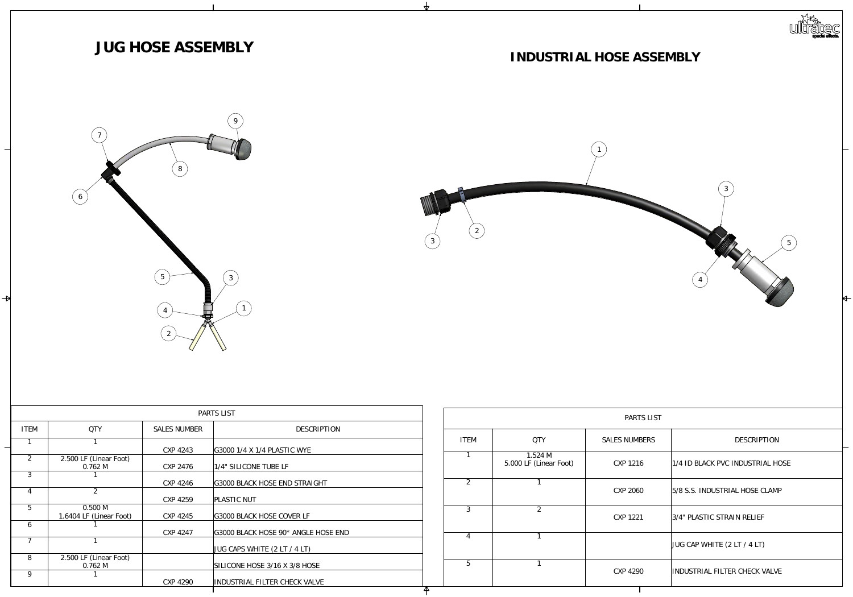|                       |                               |                     | PARTS LIST                       |                  |                  |
|-----------------------|-------------------------------|---------------------|----------------------------------|------------------|------------------|
| <b>ITEM</b>           | QIY                           | <b>SALES NUMBER</b> | <b>DESCRIPTION</b>               |                  |                  |
|                       |                               |                     |                                  | <b>ITEM</b>      | $Q\Gamma$        |
|                       |                               | CYP 4243            | G3001/4X1/4HASTICWSE             |                  |                  |
| $\boldsymbol{z}$      | 2500LF (Linear Foot)          |                     |                                  |                  | 1.524            |
|                       | Q762M                         | <b>CYP 2476</b>     | 1/4" SILICONE TUBE LF            |                  | 5000LF (Lin      |
| 3                     |                               |                     |                                  |                  |                  |
|                       |                               | CYP4246             | G3000 BLACK HOSE END STRAIGHT    | $\boldsymbol{z}$ | $\mathbf{I}$     |
| $\overline{4}$        | $\mathcal{Z}$                 |                     |                                  |                  |                  |
|                       |                               | COP 4259            | <b>PLASTICNUT</b>                |                  |                  |
| $\overline{5}$        | Q500M                         |                     |                                  | 3                | $\boldsymbol{z}$ |
|                       | 1.6404 LF (Linear Foot)       | CYP 4245            | G3000 BLACK HOSE COVER LF        |                  |                  |
| 6                     |                               |                     |                                  |                  |                  |
| $\boldsymbol{\gamma}$ |                               | CNP 4247            | G3000BLACKHOSE 90* ANGLEHOSE END | $\overline{4}$   |                  |
|                       |                               |                     |                                  |                  |                  |
| 8                     |                               |                     | $JUG$ CAPS WHTE (2LT /4LT)       |                  |                  |
|                       | 2500LF (Linear Foot)<br>Q762M |                     | SILICONE HOSE 3/16 X3/8 HOSE     | 5                |                  |
| $\Theta$              |                               |                     |                                  |                  |                  |
|                       |                               | CP4290              | INDUSTRIAL FILTER CHECK VALVE    |                  |                  |
|                       |                               |                     |                                  |                  |                  |



|                  |                                | PARTS LIST           |                               |
|------------------|--------------------------------|----------------------|-------------------------------|
| ITEM             | QIY                            | <b>SALES NUMBERS</b> | <b>DESCRIPTION</b>            |
|                  | 1.524M<br>5000LF (Linear Foot) | <b>CXP 1216</b>      | 1/4IDBLACKPCINDLSTRIALHOSE    |
| $\boldsymbol{z}$ |                                | CP200                | 5/8S.S. INDUSTRIAL HOSE CLAMP |
| 3                | $\boldsymbol{z}$               | <b>CXP 1221</b>      | 3/4" PLASTIC STRAIN RELIEF    |
| $\overline{4}$   |                                |                      | JUG CAPWHTE (2LT / 4LT)       |
| $\overline{5}$   |                                | <b>CXP 4290</b>      | INDUSTRIAL FILTER CHECK VALVE |
|                  |                                |                      |                               |





### **INDUSTRIALHOSEASSEMBLY**